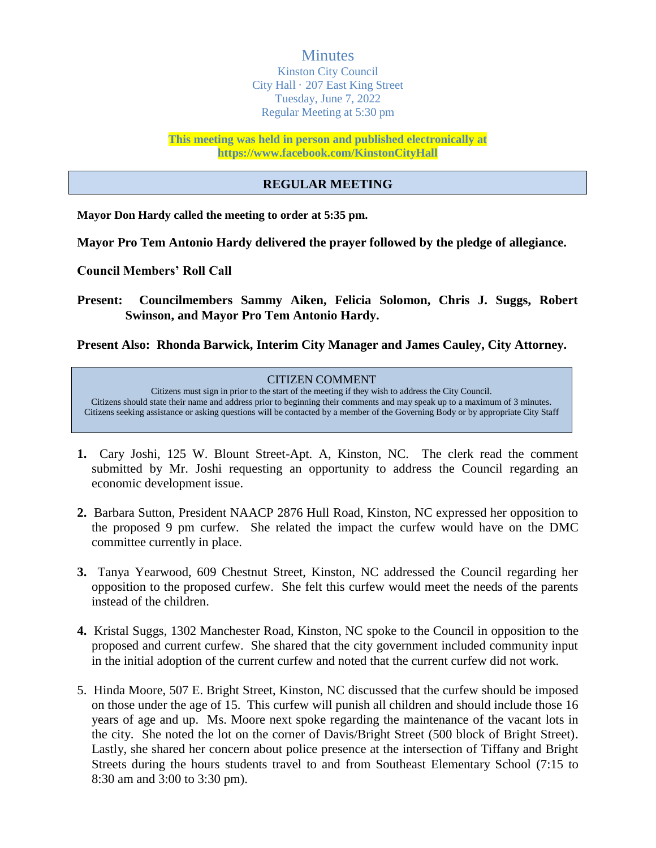**Minutes** Kinston City Council City Hall · 207 East King Street Tuesday, June 7, 2022 Regular Meeting at 5:30 pm

**This meeting was held in person and published electronically at https://www.facebook.com/KinstonCityHall** 

#### **REGULAR MEETING**

**Mayor Don Hardy called the meeting to order at 5:35 pm.**

**Mayor Pro Tem Antonio Hardy delivered the prayer followed by the pledge of allegiance.**

**Council Members' Roll Call**

**Present: Councilmembers Sammy Aiken, Felicia Solomon, Chris J. Suggs, Robert Swinson, and Mayor Pro Tem Antonio Hardy.**

**Present Also: Rhonda Barwick, Interim City Manager and James Cauley, City Attorney.**

CITIZEN COMMENT Citizens must sign in prior to the start of the meeting if they wish to address the City Council. Citizens should state their name and address prior to beginning their comments and may speak up to a maximum of 3 minutes. Citizens seeking assistance or asking questions will be contacted by a member of the Governing Body or by appropriate City Staff

- **1.** Cary Joshi, 125 W. Blount Street-Apt. A, Kinston, NC. The clerk read the comment submitted by Mr. Joshi requesting an opportunity to address the Council regarding an economic development issue.
- **2.** Barbara Sutton, President NAACP 2876 Hull Road, Kinston, NC expressed her opposition to the proposed 9 pm curfew. She related the impact the curfew would have on the DMC committee currently in place.
- **3.** Tanya Yearwood, 609 Chestnut Street, Kinston, NC addressed the Council regarding her opposition to the proposed curfew. She felt this curfew would meet the needs of the parents instead of the children.
- **4.** Kristal Suggs, 1302 Manchester Road, Kinston, NC spoke to the Council in opposition to the proposed and current curfew. She shared that the city government included community input in the initial adoption of the current curfew and noted that the current curfew did not work.
- 5. Hinda Moore, 507 E. Bright Street, Kinston, NC discussed that the curfew should be imposed on those under the age of 15. This curfew will punish all children and should include those 16 years of age and up. Ms. Moore next spoke regarding the maintenance of the vacant lots in the city. She noted the lot on the corner of Davis/Bright Street (500 block of Bright Street). Lastly, she shared her concern about police presence at the intersection of Tiffany and Bright Streets during the hours students travel to and from Southeast Elementary School (7:15 to 8:30 am and 3:00 to 3:30 pm).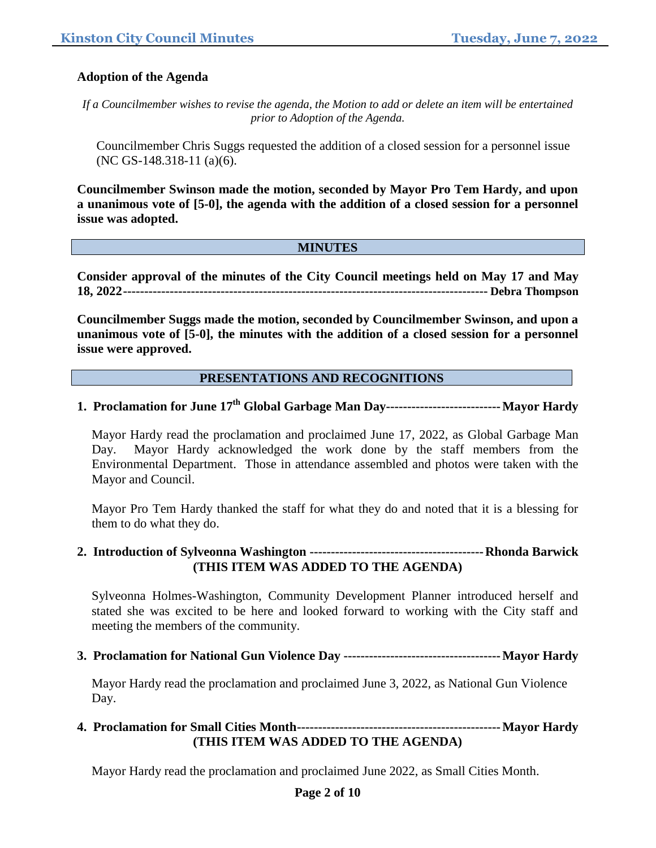#### **Adoption of the Agenda**

*If a Councilmember wishes to revise the agenda, the Motion to add or delete an item will be entertained prior to Adoption of the Agenda.*

Councilmember Chris Suggs requested the addition of a closed session for a personnel issue (NC GS-148.318-11 (a)(6).

**Councilmember Swinson made the motion, seconded by Mayor Pro Tem Hardy, and upon a unanimous vote of [5-0], the agenda with the addition of a closed session for a personnel issue was adopted.**

#### **MINUTES**

**Consider approval of the minutes of the City Council meetings held on May 17 and May 18, 2022-------------------------------------------------------------------------------------- Debra Thompson**

**Councilmember Suggs made the motion, seconded by Councilmember Swinson, and upon a unanimous vote of [5-0], the minutes with the addition of a closed session for a personnel issue were approved.**

#### **PRESENTATIONS AND RECOGNITIONS**

# **1. Proclamation for June 17th Global Garbage Man Day---------------------------Mayor Hardy**

Mayor Hardy read the proclamation and proclaimed June 17, 2022, as Global Garbage Man Day. Mayor Hardy acknowledged the work done by the staff members from the Environmental Department. Those in attendance assembled and photos were taken with the Mayor and Council.

Mayor Pro Tem Hardy thanked the staff for what they do and noted that it is a blessing for them to do what they do.

#### **2. Introduction of Sylveonna Washington -----------------------------------------Rhonda Barwick (THIS ITEM WAS ADDED TO THE AGENDA)**

Sylveonna Holmes-Washington, Community Development Planner introduced herself and stated she was excited to be here and looked forward to working with the City staff and meeting the members of the community.

**3. Proclamation for National Gun Violence Day -------------------------------------Mayor Hardy**

Mayor Hardy read the proclamation and proclaimed June 3, 2022, as National Gun Violence Day.

### **4. Proclamation for Small Cities Month------------------------------------------------Mayor Hardy (THIS ITEM WAS ADDED TO THE AGENDA)**

Mayor Hardy read the proclamation and proclaimed June 2022, as Small Cities Month.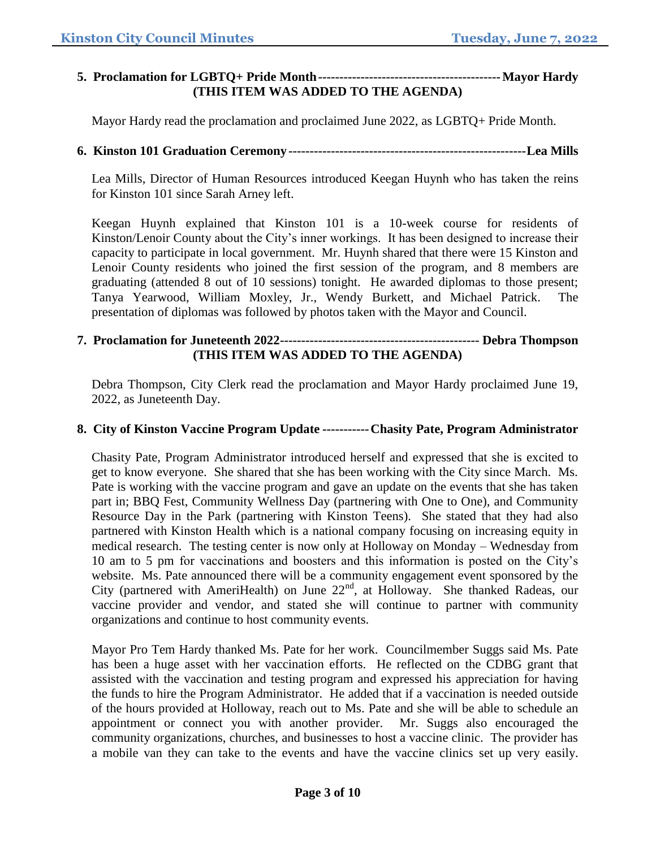## **5. Proclamation for LGBTQ+ Pride Month-------------------------------------------Mayor Hardy (THIS ITEM WAS ADDED TO THE AGENDA)**

Mayor Hardy read the proclamation and proclaimed June 2022, as LGBTQ+ Pride Month.

## **6. Kinston 101 Graduation Ceremony --------------------------------------------------------Lea Mills**

Lea Mills, Director of Human Resources introduced Keegan Huynh who has taken the reins for Kinston 101 since Sarah Arney left.

Keegan Huynh explained that Kinston 101 is a 10-week course for residents of Kinston/Lenoir County about the City's inner workings. It has been designed to increase their capacity to participate in local government. Mr. Huynh shared that there were 15 Kinston and Lenoir County residents who joined the first session of the program, and 8 members are graduating (attended 8 out of 10 sessions) tonight. He awarded diplomas to those present; Tanya Yearwood, William Moxley, Jr., Wendy Burkett, and Michael Patrick. The presentation of diplomas was followed by photos taken with the Mayor and Council.

## **7. Proclamation for Juneteenth 2022----------------------------------------------- Debra Thompson (THIS ITEM WAS ADDED TO THE AGENDA)**

Debra Thompson, City Clerk read the proclamation and Mayor Hardy proclaimed June 19, 2022, as Juneteenth Day.

## **8. City of Kinston Vaccine Program Update -----------Chasity Pate, Program Administrator**

Chasity Pate, Program Administrator introduced herself and expressed that she is excited to get to know everyone. She shared that she has been working with the City since March. Ms. Pate is working with the vaccine program and gave an update on the events that she has taken part in; BBQ Fest, Community Wellness Day (partnering with One to One), and Community Resource Day in the Park (partnering with Kinston Teens). She stated that they had also partnered with Kinston Health which is a national company focusing on increasing equity in medical research. The testing center is now only at Holloway on Monday – Wednesday from 10 am to 5 pm for vaccinations and boosters and this information is posted on the City's website. Ms. Pate announced there will be a community engagement event sponsored by the City (partnered with AmeriHealth) on June  $22<sup>nd</sup>$ , at Holloway. She thanked Radeas, our vaccine provider and vendor, and stated she will continue to partner with community organizations and continue to host community events.

Mayor Pro Tem Hardy thanked Ms. Pate for her work. Councilmember Suggs said Ms. Pate has been a huge asset with her vaccination efforts. He reflected on the CDBG grant that assisted with the vaccination and testing program and expressed his appreciation for having the funds to hire the Program Administrator. He added that if a vaccination is needed outside of the hours provided at Holloway, reach out to Ms. Pate and she will be able to schedule an appointment or connect you with another provider. Mr. Suggs also encouraged the community organizations, churches, and businesses to host a vaccine clinic. The provider has a mobile van they can take to the events and have the vaccine clinics set up very easily.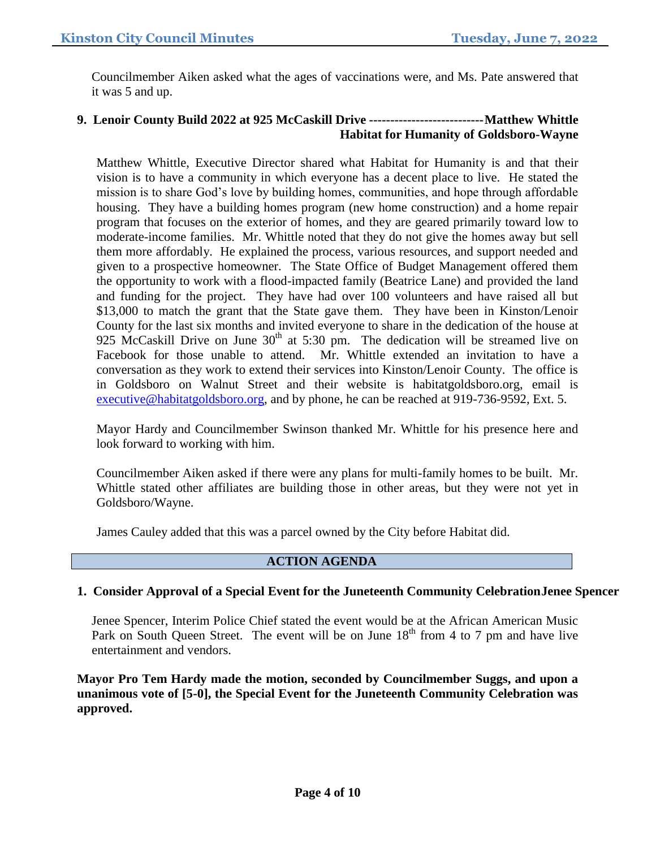Councilmember Aiken asked what the ages of vaccinations were, and Ms. Pate answered that it was 5 and up.

## **9. Lenoir County Build 2022 at 925 McCaskill Drive ---------------------------Matthew Whittle Habitat for Humanity of Goldsboro-Wayne**

Matthew Whittle, Executive Director shared what Habitat for Humanity is and that their vision is to have a community in which everyone has a decent place to live. He stated the mission is to share God's love by building homes, communities, and hope through affordable housing. They have a building homes program (new home construction) and a home repair program that focuses on the exterior of homes, and they are geared primarily toward low to moderate-income families. Mr. Whittle noted that they do not give the homes away but sell them more affordably. He explained the process, various resources, and support needed and given to a prospective homeowner. The State Office of Budget Management offered them the opportunity to work with a flood-impacted family (Beatrice Lane) and provided the land and funding for the project. They have had over 100 volunteers and have raised all but \$13,000 to match the grant that the State gave them. They have been in Kinston/Lenoir County for the last six months and invited everyone to share in the dedication of the house at 925 McCaskill Drive on June  $30<sup>th</sup>$  at 5:30 pm. The dedication will be streamed live on Facebook for those unable to attend. Mr. Whittle extended an invitation to have a conversation as they work to extend their services into Kinston/Lenoir County. The office is in Goldsboro on Walnut Street and their website is habitatgoldsboro.org, email is [executive@habitatgoldsboro.org,](mailto:executive@habitatgoldsboro.org) and by phone, he can be reached at 919-736-9592, Ext. 5.

Mayor Hardy and Councilmember Swinson thanked Mr. Whittle for his presence here and look forward to working with him.

Councilmember Aiken asked if there were any plans for multi-family homes to be built. Mr. Whittle stated other affiliates are building those in other areas, but they were not yet in Goldsboro/Wayne.

James Cauley added that this was a parcel owned by the City before Habitat did.

## **ACTION AGENDA**

## **1. Consider Approval of a Special Event for the Juneteenth Community CelebrationJenee Spencer**

Jenee Spencer, Interim Police Chief stated the event would be at the African American Music Park on South Queen Street. The event will be on June  $18<sup>th</sup>$  from 4 to 7 pm and have live entertainment and vendors.

**Mayor Pro Tem Hardy made the motion, seconded by Councilmember Suggs, and upon a unanimous vote of [5-0], the Special Event for the Juneteenth Community Celebration was approved.**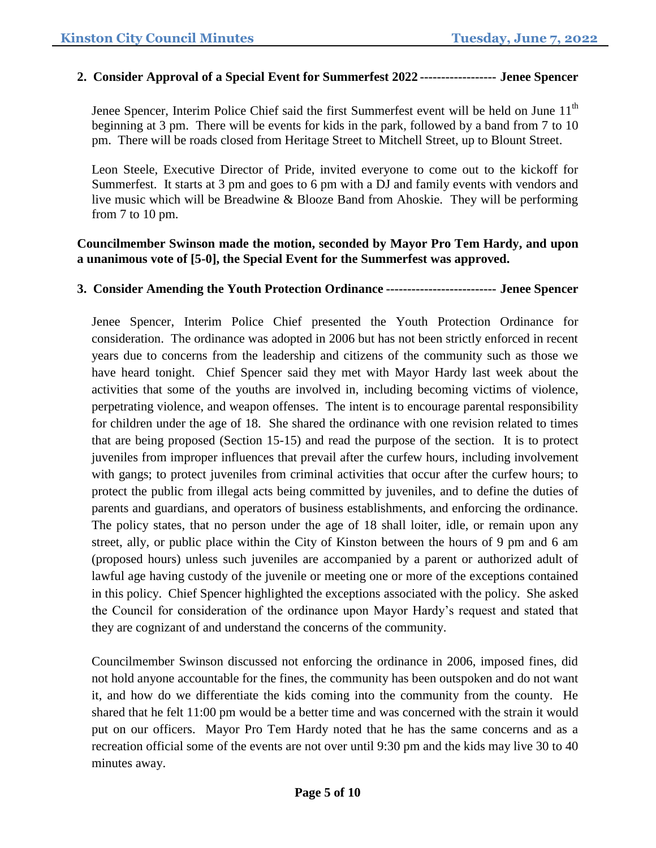### **2. Consider Approval of a Special Event for Summerfest 2022 ------------------ Jenee Spencer**

Jenee Spencer, Interim Police Chief said the first Summerfest event will be held on June  $11<sup>th</sup>$ beginning at 3 pm. There will be events for kids in the park, followed by a band from 7 to 10 pm. There will be roads closed from Heritage Street to Mitchell Street, up to Blount Street.

Leon Steele, Executive Director of Pride, invited everyone to come out to the kickoff for Summerfest. It starts at 3 pm and goes to 6 pm with a DJ and family events with vendors and live music which will be Breadwine & Blooze Band from Ahoskie. They will be performing from 7 to 10 pm.

### **Councilmember Swinson made the motion, seconded by Mayor Pro Tem Hardy, and upon a unanimous vote of [5-0], the Special Event for the Summerfest was approved.**

### **3. Consider Amending the Youth Protection Ordinance -------------------------- Jenee Spencer**

Jenee Spencer, Interim Police Chief presented the Youth Protection Ordinance for consideration. The ordinance was adopted in 2006 but has not been strictly enforced in recent years due to concerns from the leadership and citizens of the community such as those we have heard tonight. Chief Spencer said they met with Mayor Hardy last week about the activities that some of the youths are involved in, including becoming victims of violence, perpetrating violence, and weapon offenses. The intent is to encourage parental responsibility for children under the age of 18. She shared the ordinance with one revision related to times that are being proposed (Section 15-15) and read the purpose of the section. It is to protect juveniles from improper influences that prevail after the curfew hours, including involvement with gangs; to protect juveniles from criminal activities that occur after the curfew hours; to protect the public from illegal acts being committed by juveniles, and to define the duties of parents and guardians, and operators of business establishments, and enforcing the ordinance. The policy states, that no person under the age of 18 shall loiter, idle, or remain upon any street, ally, or public place within the City of Kinston between the hours of 9 pm and 6 am (proposed hours) unless such juveniles are accompanied by a parent or authorized adult of lawful age having custody of the juvenile or meeting one or more of the exceptions contained in this policy. Chief Spencer highlighted the exceptions associated with the policy. She asked the Council for consideration of the ordinance upon Mayor Hardy's request and stated that they are cognizant of and understand the concerns of the community.

Councilmember Swinson discussed not enforcing the ordinance in 2006, imposed fines, did not hold anyone accountable for the fines, the community has been outspoken and do not want it, and how do we differentiate the kids coming into the community from the county. He shared that he felt 11:00 pm would be a better time and was concerned with the strain it would put on our officers. Mayor Pro Tem Hardy noted that he has the same concerns and as a recreation official some of the events are not over until 9:30 pm and the kids may live 30 to 40 minutes away.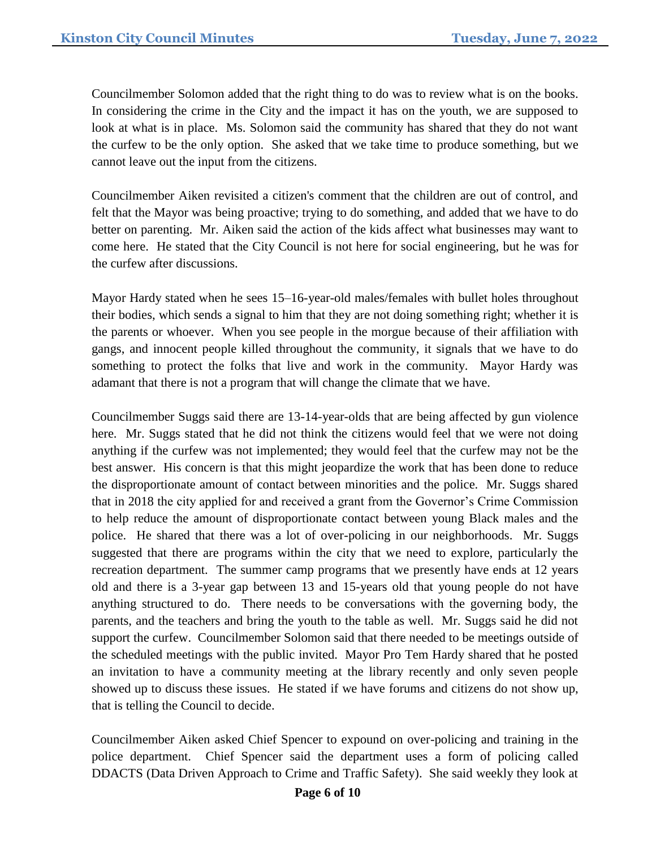Councilmember Solomon added that the right thing to do was to review what is on the books. In considering the crime in the City and the impact it has on the youth, we are supposed to look at what is in place. Ms. Solomon said the community has shared that they do not want the curfew to be the only option. She asked that we take time to produce something, but we cannot leave out the input from the citizens.

Councilmember Aiken revisited a citizen's comment that the children are out of control, and felt that the Mayor was being proactive; trying to do something, and added that we have to do better on parenting. Mr. Aiken said the action of the kids affect what businesses may want to come here. He stated that the City Council is not here for social engineering, but he was for the curfew after discussions.

Mayor Hardy stated when he sees 15–16-year-old males/females with bullet holes throughout their bodies, which sends a signal to him that they are not doing something right; whether it is the parents or whoever. When you see people in the morgue because of their affiliation with gangs, and innocent people killed throughout the community, it signals that we have to do something to protect the folks that live and work in the community. Mayor Hardy was adamant that there is not a program that will change the climate that we have.

Councilmember Suggs said there are 13-14-year-olds that are being affected by gun violence here. Mr. Suggs stated that he did not think the citizens would feel that we were not doing anything if the curfew was not implemented; they would feel that the curfew may not be the best answer. His concern is that this might jeopardize the work that has been done to reduce the disproportionate amount of contact between minorities and the police. Mr. Suggs shared that in 2018 the city applied for and received a grant from the Governor's Crime Commission to help reduce the amount of disproportionate contact between young Black males and the police. He shared that there was a lot of over-policing in our neighborhoods. Mr. Suggs suggested that there are programs within the city that we need to explore, particularly the recreation department. The summer camp programs that we presently have ends at 12 years old and there is a 3-year gap between 13 and 15-years old that young people do not have anything structured to do. There needs to be conversations with the governing body, the parents, and the teachers and bring the youth to the table as well. Mr. Suggs said he did not support the curfew. Councilmember Solomon said that there needed to be meetings outside of the scheduled meetings with the public invited. Mayor Pro Tem Hardy shared that he posted an invitation to have a community meeting at the library recently and only seven people showed up to discuss these issues. He stated if we have forums and citizens do not show up, that is telling the Council to decide.

Councilmember Aiken asked Chief Spencer to expound on over-policing and training in the police department. Chief Spencer said the department uses a form of policing called DDACTS (Data Driven Approach to Crime and Traffic Safety). She said weekly they look at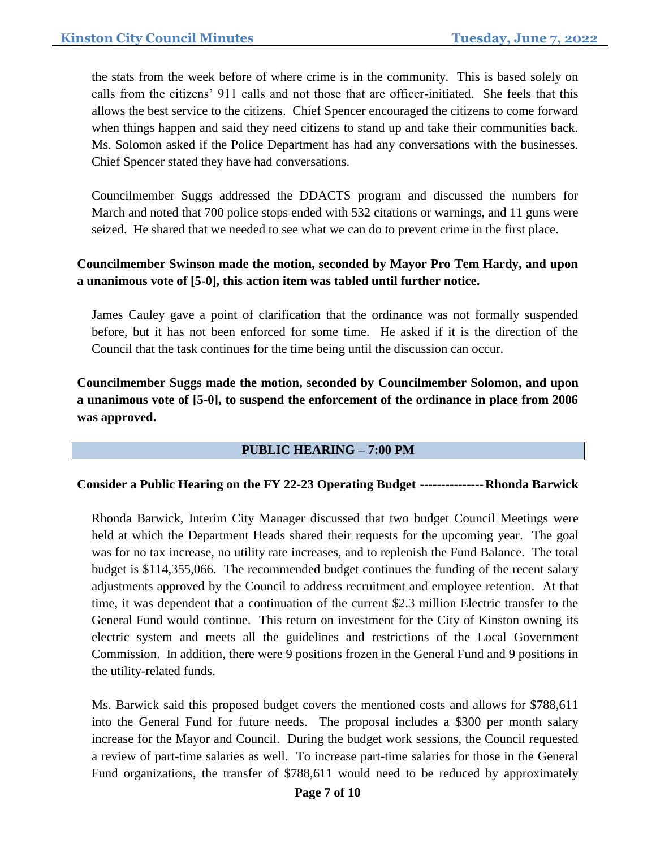the stats from the week before of where crime is in the community. This is based solely on calls from the citizens' 911 calls and not those that are officer-initiated. She feels that this allows the best service to the citizens. Chief Spencer encouraged the citizens to come forward when things happen and said they need citizens to stand up and take their communities back. Ms. Solomon asked if the Police Department has had any conversations with the businesses. Chief Spencer stated they have had conversations.

Councilmember Suggs addressed the DDACTS program and discussed the numbers for March and noted that 700 police stops ended with 532 citations or warnings, and 11 guns were seized. He shared that we needed to see what we can do to prevent crime in the first place.

## **Councilmember Swinson made the motion, seconded by Mayor Pro Tem Hardy, and upon a unanimous vote of [5-0], this action item was tabled until further notice.**

James Cauley gave a point of clarification that the ordinance was not formally suspended before, but it has not been enforced for some time. He asked if it is the direction of the Council that the task continues for the time being until the discussion can occur.

# **Councilmember Suggs made the motion, seconded by Councilmember Solomon, and upon a unanimous vote of [5-0], to suspend the enforcement of the ordinance in place from 2006 was approved.**

## **PUBLIC HEARING – 7:00 PM**

#### **Consider a Public Hearing on the FY 22-23 Operating Budget ---------------Rhonda Barwick**

Rhonda Barwick, Interim City Manager discussed that two budget Council Meetings were held at which the Department Heads shared their requests for the upcoming year. The goal was for no tax increase, no utility rate increases, and to replenish the Fund Balance. The total budget is \$114,355,066. The recommended budget continues the funding of the recent salary adjustments approved by the Council to address recruitment and employee retention. At that time, it was dependent that a continuation of the current \$2.3 million Electric transfer to the General Fund would continue. This return on investment for the City of Kinston owning its electric system and meets all the guidelines and restrictions of the Local Government Commission. In addition, there were 9 positions frozen in the General Fund and 9 positions in the utility-related funds.

Ms. Barwick said this proposed budget covers the mentioned costs and allows for \$788,611 into the General Fund for future needs. The proposal includes a \$300 per month salary increase for the Mayor and Council. During the budget work sessions, the Council requested a review of part-time salaries as well. To increase part-time salaries for those in the General Fund organizations, the transfer of \$788,611 would need to be reduced by approximately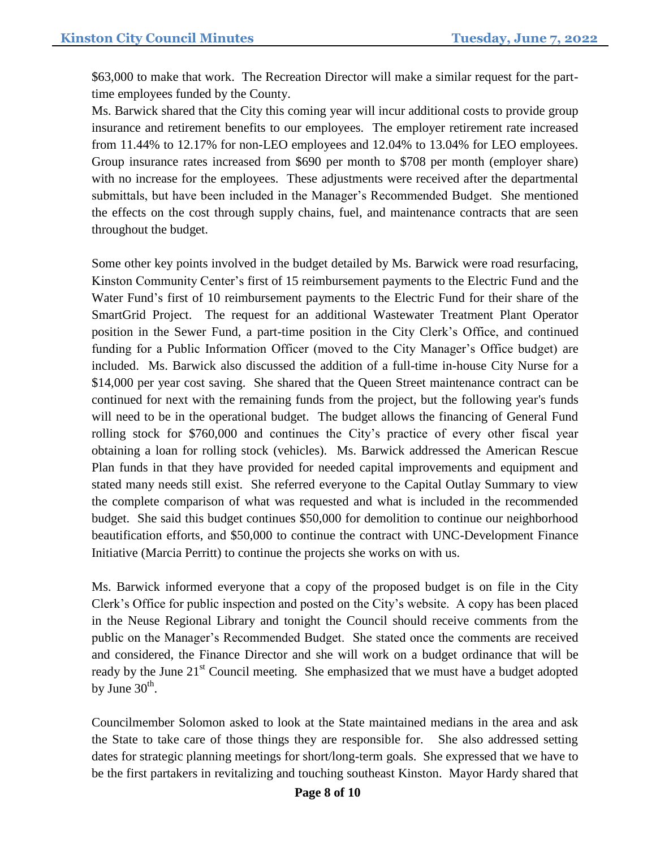\$63,000 to make that work. The Recreation Director will make a similar request for the parttime employees funded by the County.

Ms. Barwick shared that the City this coming year will incur additional costs to provide group insurance and retirement benefits to our employees. The employer retirement rate increased from 11.44% to 12.17% for non-LEO employees and 12.04% to 13.04% for LEO employees. Group insurance rates increased from \$690 per month to \$708 per month (employer share) with no increase for the employees. These adjustments were received after the departmental submittals, but have been included in the Manager's Recommended Budget. She mentioned the effects on the cost through supply chains, fuel, and maintenance contracts that are seen throughout the budget.

Some other key points involved in the budget detailed by Ms. Barwick were road resurfacing, Kinston Community Center's first of 15 reimbursement payments to the Electric Fund and the Water Fund's first of 10 reimbursement payments to the Electric Fund for their share of the SmartGrid Project. The request for an additional Wastewater Treatment Plant Operator position in the Sewer Fund, a part-time position in the City Clerk's Office, and continued funding for a Public Information Officer (moved to the City Manager's Office budget) are included. Ms. Barwick also discussed the addition of a full-time in-house City Nurse for a \$14,000 per year cost saving. She shared that the Queen Street maintenance contract can be continued for next with the remaining funds from the project, but the following year's funds will need to be in the operational budget. The budget allows the financing of General Fund rolling stock for \$760,000 and continues the City's practice of every other fiscal year obtaining a loan for rolling stock (vehicles). Ms. Barwick addressed the American Rescue Plan funds in that they have provided for needed capital improvements and equipment and stated many needs still exist. She referred everyone to the Capital Outlay Summary to view the complete comparison of what was requested and what is included in the recommended budget. She said this budget continues \$50,000 for demolition to continue our neighborhood beautification efforts, and \$50,000 to continue the contract with UNC-Development Finance Initiative (Marcia Perritt) to continue the projects she works on with us.

Ms. Barwick informed everyone that a copy of the proposed budget is on file in the City Clerk's Office for public inspection and posted on the City's website. A copy has been placed in the Neuse Regional Library and tonight the Council should receive comments from the public on the Manager's Recommended Budget. She stated once the comments are received and considered, the Finance Director and she will work on a budget ordinance that will be ready by the June  $21<sup>st</sup>$  Council meeting. She emphasized that we must have a budget adopted by June  $30<sup>th</sup>$ .

Councilmember Solomon asked to look at the State maintained medians in the area and ask the State to take care of those things they are responsible for. She also addressed setting dates for strategic planning meetings for short/long-term goals. She expressed that we have to be the first partakers in revitalizing and touching southeast Kinston. Mayor Hardy shared that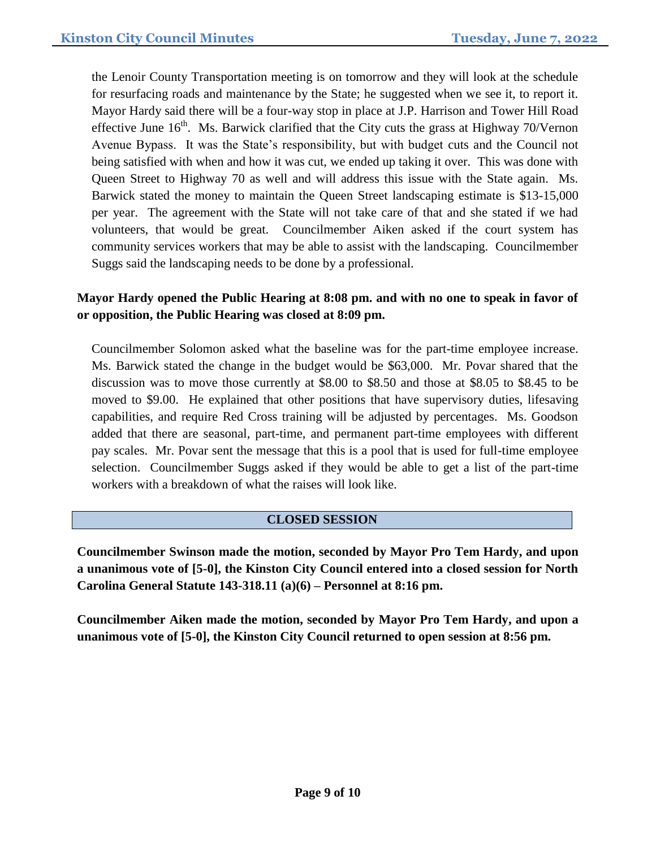the Lenoir County Transportation meeting is on tomorrow and they will look at the schedule for resurfacing roads and maintenance by the State; he suggested when we see it, to report it. Mayor Hardy said there will be a four-way stop in place at J.P. Harrison and Tower Hill Road effective June  $16<sup>th</sup>$ . Ms. Barwick clarified that the City cuts the grass at Highway 70/Vernon Avenue Bypass. It was the State's responsibility, but with budget cuts and the Council not being satisfied with when and how it was cut, we ended up taking it over. This was done with Queen Street to Highway 70 as well and will address this issue with the State again. Ms. Barwick stated the money to maintain the Queen Street landscaping estimate is \$13-15,000 per year. The agreement with the State will not take care of that and she stated if we had volunteers, that would be great. Councilmember Aiken asked if the court system has community services workers that may be able to assist with the landscaping. Councilmember Suggs said the landscaping needs to be done by a professional.

# **Mayor Hardy opened the Public Hearing at 8:08 pm. and with no one to speak in favor of or opposition, the Public Hearing was closed at 8:09 pm.**

Councilmember Solomon asked what the baseline was for the part-time employee increase. Ms. Barwick stated the change in the budget would be \$63,000. Mr. Povar shared that the discussion was to move those currently at \$8.00 to \$8.50 and those at \$8.05 to \$8.45 to be moved to \$9.00. He explained that other positions that have supervisory duties, lifesaving capabilities, and require Red Cross training will be adjusted by percentages. Ms. Goodson added that there are seasonal, part-time, and permanent part-time employees with different pay scales. Mr. Povar sent the message that this is a pool that is used for full-time employee selection. Councilmember Suggs asked if they would be able to get a list of the part-time workers with a breakdown of what the raises will look like.

## **CLOSED SESSION**

**Councilmember Swinson made the motion, seconded by Mayor Pro Tem Hardy, and upon a unanimous vote of [5-0], the Kinston City Council entered into a closed session for North Carolina General Statute 143-318.11 (a)(6) – Personnel at 8:16 pm.**

**Councilmember Aiken made the motion, seconded by Mayor Pro Tem Hardy, and upon a unanimous vote of [5-0], the Kinston City Council returned to open session at 8:56 pm.**